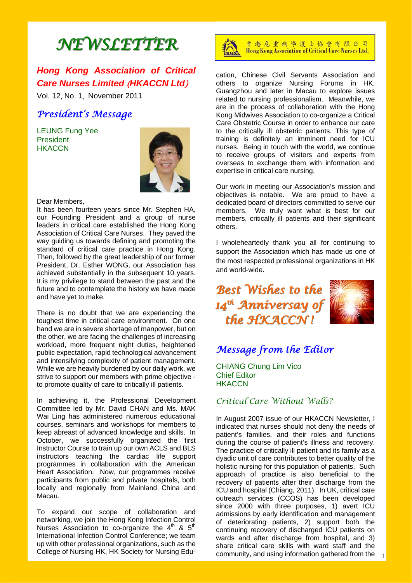# *NEWSLETTER NEWSLETTER*

## *Hong Kong Association of Critical Care Nurses Limited* (*HKACCN Ltd*)

Vol. 12, No. 1, November 2011

## *President's Message*

LEUNG Fung Yee **President HKACCN** 



#### Dear Members,

It has been fourteen years since Mr. Stephen HA, our Founding President and a group of nurse leaders in critical care established the Hong Kong Association of Critical Care Nurses. They paved the way guiding us towards defining and promoting the standard of critical care practice in Hong Kong. Then, followed by the great leadership of our former President, Dr. Esther WONG, our Association has achieved substantially in the subsequent 10 years. It is my privilege to stand between the past and the future and to contemplate the history we have made and have yet to make.

There is no doubt that we are experiencing the toughest time in critical care environment. On one hand we are in severe shortage of manpower, but on the other, we are facing the challenges of increasing workload, more frequent night duties, heightened public expectation, rapid technological advancement and intensifying complexity of patient management. While we are heavily burdened by our daily work, we strive to support our members with prime objective to promote quality of care to critically ill patients.

In achieving it, the Professional Development Committee led by Mr. David CHAN and Ms. MAK Wai Ling has administered numerous educational courses, seminars and workshops for members to keep abreast of advanced knowledge and skills. In October, we successfully organized the first Instructor Course to train up our own ACLS and BLS instructors teaching the cardiac life support programmes in collaboration with the American Heart Association. Now, our programmes receive participants from public and private hospitals, both locally and regionally from Mainland China and Macau.

To expand our scope of collaboration and networking, we join the Hong Kong Infection Control Nurses Association to co-organize the  $4^{\text{th}}$  &  $5^{\text{th}}$ International Infection Control Conference; we team up with other professional organizations, such as the College of Nursing HK, HK Society for Nursing Edu-



香港危重病學護士協會有限公司 Hong Kong Association of Critical Care Nurses Ltd.

cation, Chinese Civil Servants Association and others to organize Nursing Forums in HK, Guangzhou and later in Macau to explore issues related to nursing professionalism. Meanwhile, we are in the process of collaboration with the Hong Kong Midwives Association to co-organize a Critical Care Obstetric Course in order to enhance our care to the critically ill obstetric patients. This type of training is definitely an imminent need for ICU nurses. Being in touch with the world, we continue to receive groups of visitors and experts from overseas to exchange them with information and expertise in critical care nursing.

Our work in meeting our Association's mission and objectives is notable. We are proud to have a dedicated board of directors committed to serve our members. We truly want what is best for our members, critically ill patients and their significant others.

I wholeheartedly thank you all for continuing to support the Association which has made us one of the most respected professional organizations in HK and world-wide.

*Best Wishes to the* 14<sup>th</sup> *Anniversay of the HKACCN ! the HKACCN !* 



## *Message from the Editor*

CHIANG Chung Lim Vico Chief Editor **HKACCN** 

## *Critical Care Without Walls?*

community, and using information gathered from the  $1$ In August 2007 issue of our HKACCN Newsletter, I indicated that nurses should not deny the needs of patient's families, and their roles and functions during the course of patient's illness and recovery. The practice of critically ill patient and its family as a dyadic unit of care contributes to better quality of the holistic nursing for this population of patients. Such approach of practice is also beneficial to the recovery of patients after their discharge from the ICU and hospital (Chiang, 2011). In UK, critical care outreach services (CCOS) has been developed since 2000 with three purposes, 1) avert ICU admissions by early identification and management of deteriorating patients, 2) support both the continuing recovery of discharged ICU patients on wards and after discharge from hospital, and 3) share critical care skills with ward staff and the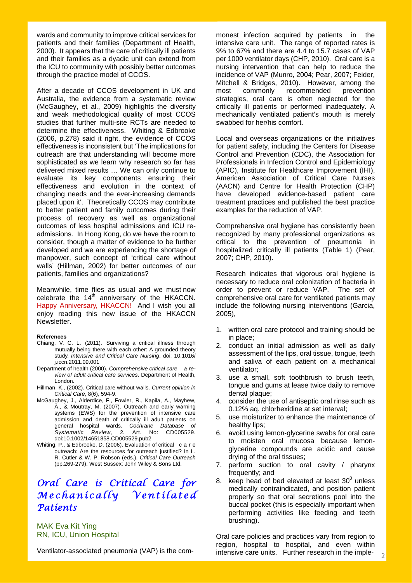wards and community to improve critical services for patients and their families (Department of Health, 2000). It appears that the care of critically ill patients and their families as a dyadic unit can extend from the ICU to community with possibly better outcomes through the practice model of CCOS.

After a decade of CCOS development in UK and Australia, the evidence from a systematic review (McGaughey, et al., 2009) highlights the diversity and weak methodological quality of most CCOS studies that further multi-site RCTs are needed to determine the effectiveness. Whiting & Edbrooke (2006, p.278) said it right, the evidence of CCOS effectiveness is inconsistent but 'The implications for outreach are that understanding will become more sophisticated as we learn why research so far has delivered mixed results … We can only continue to evaluate its key components ensuring their effectiveness and evolution in the context of changing needs and the ever-increasing demands placed upon it'. Theoretically CCOS may contribute to better patient and family outcomes during their process of recovery as well as organizational outcomes of less hospital admissions and ICU readmissions. In Hong Kong, do we have the room to consider, though a matter of evidence to be further developed and we are experiencing the shortage of manpower, such concept of 'critical care without walls' (Hillman, 2002) for better outcomes of our patients, families and organizations?

Meanwhile, time flies as usual and we must now celebrate the  $14<sup>th</sup>$  anniversary of the HKACCN. Happy Anniversary, HKACCN! And I wish you all enjoy reading this new issue of the HKACCN Newsletter.

#### **References**

- Chiang, V. C. L. (2011). Surviving a critical illness through mutually being there with each other: A grounded theory study. *Intensive and Critical Care Nursing*. doi: 10.1016/ j.iccn.2011.09.001
- Department of health (2000). *Comprehensive critical care a re view of adult critical care services*. Department of Health, London.
- Hillman, K., (2002). Critical care without walls. *Current opinion in Critical Care*, 8(6), 594-9.
- McGaughey, J., Alderdice, F., Fowler, R., Kapila, A., Mayhew, A., & Moutray, M. (2007). Outreach and early warning systems (EWS) for the prevention of intensive care admission and death of critically ill adult patients on general hospital wards. *Cochrane Database of*  Art. No: CD005529. doi:10.1002/14651858.CD005529.pub2
- Whiting, P., & Edbrooke, D. (2006). Evaluation of critical c a r e outreach: Are the resources for outreach justified? In L. R. Cutler & W. P. Robson (eds.), *Critical Care Outreach* (pp.269-279). West Sussex: John Wiley & Sons Ltd.

## *Oral Care is Critical Care for Mechanically Ventilated Patients*

MAK Eva Kit Ying RN, ICU, Union Hospital

Ventilator-associated pneumonia (VAP) is the com-

monest infection acquired by patients in the intensive care unit. The range of reported rates is 9% to 67% and there are 4.4 to 15.7 cases of VAP per 1000 ventilator days (CHP, 2010). Oral care is a nursing intervention that can help to reduce the incidence of VAP (Munro, 2004; Pear, 2007; Feider, Mitchell & Bridges, 2010). However, among the most commonly recommended prevention strategies, oral care is often neglected for the critically ill patients or performed inadequately. A mechanically ventilated patient's mouth is merely swabbed for her/his comfort.

Local and overseas organizations or the initiatives for patient safety, including the Centers for Disease Control and Prevention (CDC), the Association for Professionals in Infection Control and Epidemiology (APIC), Institute for Healthcare Improvement (IHI), American Association of Critical Care Nurses (AACN) and Centre for Health Protection (CHP) have developed evidence-based patient care treatment practices and published the best practice examples for the reduction of VAP.

Comprehensive oral hygiene has consistently been recognized by many professional organizations as critical to the prevention of pneumonia in hospitalized critically ill patients (Table 1) (Pear, 2007; CHP, 2010).

Research indicates that vigorous oral hygiene is necessary to reduce oral colonization of bacteria in order to prevent or reduce VAP. The set of comprehensive oral care for ventilated patients may include the following nursing interventions (Garcia, 2005),

- 1. written oral care protocol and training should be in place;
- 2. conduct an initial admission as well as daily assessment of the lips, oral tissue, tongue, teeth and saliva of each patient on a mechanical ventilator;
- 3. use a small, soft toothbrush to brush teeth, tongue and gums at lease twice daily to remove dental plaque;
- 4. consider the use of antiseptic oral rinse such as 0.12% aq. chlorhexidine at set interval;
- 5. use moisturizer to enhance the maintenance of healthy lips;
- 6. avoid using lemon-glycerine swabs for oral care to moisten oral mucosa because lemonglycerine compounds are acidic and cause drying of the oral tissues;
- 7. perform suction to oral cavity / pharynx frequently; and
- 8. keep head of bed elevated at least  $30^{\circ}$  unless medically contraindicated, and position patient properly so that oral secretions pool into the buccal pocket (this is especially important when performing activities like feeding and teeth brushing).

Oral care policies and practices vary from region to region, hospital to hospital, and even within intensive care units. Further research in the imple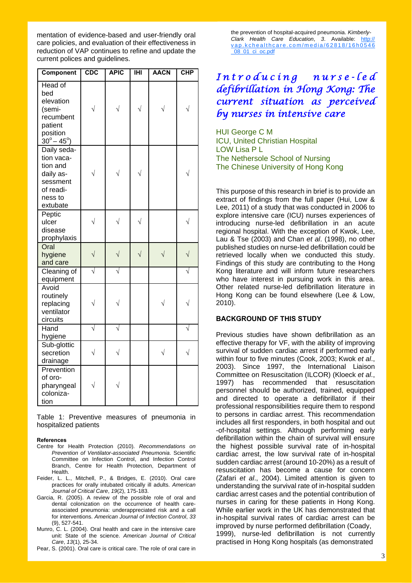mentation of evidence-based and user-friendly oral care policies, and evaluation of their effectiveness in reduction of VAP continues to refine and update the current polices and guidelines.

| <b>Component</b>                                                                                         | CDC       | <b>APIC</b> | $\overline{\mathbf{H}}$ | <b>AACN</b> | CHP |
|----------------------------------------------------------------------------------------------------------|-----------|-------------|-------------------------|-------------|-----|
| Head of<br>bed<br>elevation<br>(semi-<br>recumbent<br>patient<br>position<br>$30^{\circ} - 45^{\circ}$ ) |           |             |                         |             |     |
| Daily seda-<br>tion vaca-<br>tion and<br>daily as-<br>sessment<br>of readi-<br>ness to<br>extubate       |           |             |                         |             |     |
| Peptic<br>ulcer<br>disease<br>prophylaxis                                                                |           |             |                         |             |     |
| Oral<br>hygiene<br>and care                                                                              | $\sqrt{}$ |             | $\sqrt{}$               |             |     |
| Cleaning of<br>equipment                                                                                 | J         |             |                         |             | N   |
| Avoid<br>routinely<br>replacing<br>ventilator<br>circuits                                                |           |             |                         |             |     |
| Hand<br>hygiene                                                                                          |           |             |                         |             |     |
| Sub-glottic<br>secretion<br>drainage                                                                     | $\sqrt{}$ |             |                         | $\sqrt{}$   |     |
| Prevention<br>of oro-<br>pharyngeal<br>coloniza-<br>tion                                                 |           |             |                         |             |     |

Table 1: Preventive measures of pneumonia in hospitalized patients

#### **References**

- Centre for Health Protection (2010). *Recommendations on Prevention of Ventilator-associated Pneumonia*. Scientific Committee on Infection Control, and Infection Control Branch, Centre for Health Protection, Department of Health.
- Feider, L. L., Mitchell, P., & Bridges, E. (2010). Oral care practices for orally intubated critically ill adults. *American Journal of Critical Care*, *19*(2), 175-183.
- Garcia, R. (2005). A review of the possible role of oral and dental colonization on the occurrence of health care associated pneumonia: underappreciated risk and a call for interventions. *American Journal of Infection Control*, *33* (9), 527-541.
- Munro, C. L. (2004). Oral health and care in the intensive care unit: State of the science. *American Journal of Critical Care*, *13*(1), 25-34.
- Pear, S. (2001). Oral care is critical care. The role of oral care in

 the prevention of hospital-acquired pneumonia. *Kimberly- Clark Health Care Education*, *3*. Available: http:// vap.kchealthcare.com/media/62818/16h0546 \_08\_01\_ci\_oc.pdf

## *I n t r o d u c i n g n u r s e - l e d defibrillation in Hong Kong: The current situation as perceived by nurses in intensive care*

HUI George C M ICU, United Christian Hospital LOW Lisa P L The Nethersole School of Nursing The Chinese University of Hong Kong

This purpose of this research in brief is to provide an extract of findings from the full paper (Hui, Low & Lee, 2011) of a study that was conducted in 2006 to explore intensive care (ICU) nurses experiences of introducing nurse-led defibrillation in an acute regional hospital. With the exception of Kwok, Lee, Lau & Tse (2003) and Chan *et al*. (1998), no other published studies on nurse-led defibrillation could be retrieved locally when we conducted this study. Findings of this study are contributing to the Hong Kong literature and will inform future researchers who have interest in pursuing work in this area. Other related nurse-led defibrillation literature in Hong Kong can be found elsewhere (Lee & Low, 2010).

#### **BACKGROUND OF THIS STUDY**

Previous studies have shown defibrillation as an effective therapy for VF, with the ability of improving survival of sudden cardiac arrest if performed early within four to five minutes (Cook, 2003; Kwok *et al*., 2003). Since 1997, the International Liaison Committee on Resuscitation (ILCOR) (Kloeck *et al*., 1997) has recommended that resuscitation personnel should be authorized, trained, equipped and directed to operate a defibrillator if their professional responsibilities require them to respond to persons in cardiac arrest. This recommendation includes all first responders, in both hospital and out -of-hospital settings. Although performing early defibrillation within the chain of survival will ensure the highest possible survival rate of in-hospital cardiac arrest, the low survival rate of in-hospital sudden cardiac arrest (around 10-20%) as a result of resuscitation has become a cause for concern (Zafari *et al*., 2004). Limited attention is given to understanding the survival rate of in-hospital sudden cardiac arrest cases and the potential contribution of nurses in caring for these patients in Hong Kong. While earlier work in the UK has demonstrated that in-hospital survival rates of cardiac arrest can be improved by nurse performed defibrillation (Coady, 1999), nurse-led defibrillation is not currently practised in Hong Kong hospitals (as demonstrated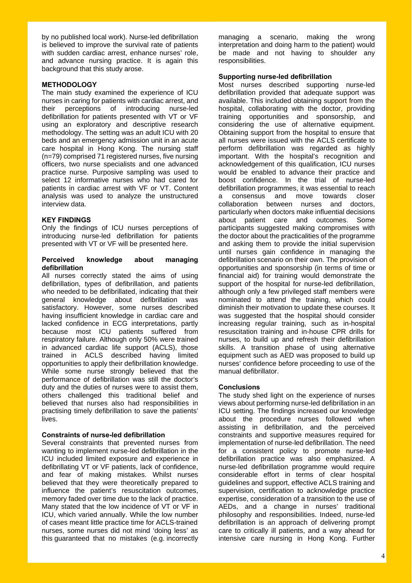by no published local work). Nurse-led defibrillation is believed to improve the survival rate of patients with sudden cardiac arrest, enhance nurses' role, and advance nursing practice. It is again this background that this study arose.

### **METHODOLOGY**

The main study examined the experience of ICU nurses in caring for patients with cardiac arrest, and their perceptions of introducing nurse-led defibrillation for patients presented with VT or VF using an exploratory and descriptive research methodology. The setting was an adult ICU with 20 beds and an emergency admission unit in an acute care hospital in Hong Kong. The nursing staff (n=79) comprised 71 registered nurses, five nursing officers, two nurse specialists and one advanced practice nurse. Purposive sampling was used to select 12 informative nurses who had cared for patients in cardiac arrest with VF or VT. Content analysis was used to analyze the unstructured interview data.

## **KEY FINDINGS**

Only the findings of ICU nurses perceptions of introducing nurse-led defibrillation for patients presented with VT or VF will be presented here.

### **Perceived knowledge about managing defibrillation**

All nurses correctly stated the aims of using defibrillation, types of defibrillation, and patients who needed to be defibrillated, indicating that their general knowledge about defibrillation was satisfactory. However, some nurses described having insufficient knowledge in cardiac care and lacked confidence in ECG interpretations, partly because most ICU patients suffered from respiratory failure. Although only 50% were trained in advanced cardiac life support (ACLS), those trained in ACLS described having limited opportunities to apply their defibrillation knowledge. While some nurse strongly believed that the performance of defibrillation was still the doctor's duty and the duties of nurses were to assist them, others challenged this traditional belief and believed that nurses also had responsibilities in practising timely defibrillation to save the patients' lives.

#### **Constraints of nurse-led defibrillation**

Several constraints that prevented nurses from wanting to implement nurse-led defibrillation in the ICU included limited exposure and experience in defibrillating VT or VF patients, lack of confidence, and fear of making mistakes. Whilst nurses believed that they were theoretically prepared to influence the patient's resuscitation outcomes, memory faded over time due to the lack of practice. Many stated that the low incidence of VT or VF in ICU, which varied annually. While the low number of cases meant little practice time for ACLS-trained nurses, some nurses did not mind 'doing less' as this guaranteed that no mistakes (e.g. incorrectly managing a scenario, making the wrong interpretation and doing harm to the patient) would be made and not having to shoulder any responsibilities.

## **Supporting nurse-led defibrillation**

Most nurses described supporting nurse-led defibrillation provided that adequate support was available. This included obtaining support from the hospital, collaborating with the doctor, providing training opportunities and sponsorship, and considering the use of alternative equipment. Obtaining support from the hospital to ensure that all nurses were issued with the ACLS certificate to perform defibrillation was regarded as highly important. With the hospital's recognition and acknowledgement of this qualification, ICU nurses would be enabled to advance their practice and boost confidence. In the trial of nurse-led defibrillation programmes, it was essential to reach a consensus and move towards closer collaboration between nurses and doctors, particularly when doctors make influential decisions about patient care and outcomes. Some participants suggested making compromises with the doctor about the practicalities of the programme and asking them to provide the initial supervision until nurses gain confidence in managing the defibrillation scenario on their own. The provision of opportunities and sponsorship (in terms of time or financial aid) for training would demonstrate the support of the hospital for nurse-led defibrillation, although only a few privileged staff members were nominated to attend the training, which could diminish their motivation to update these courses. It was suggested that the hospital should consider increasing regular training, such as in-hospital resuscitation training and in-house CPR drills for nurses, to build up and refresh their defibrillation skills. A transition phase of using alternative equipment such as AED was proposed to build up nurses' confidence before proceeding to use of the manual defibrillator.

#### **Conclusions**

The study shed light on the experience of nurses views about performing nurse-led defibrillation in an ICU setting. The findings increased our knowledge about the procedure nurses followed when assisting in defibrillation, and the perceived constraints and supportive measures required for implementation of nurse-led defibrillation. The need for a consistent policy to promote nurse-led defibrillation practice was also emphasized. A nurse-led defibrillation programme would require considerable effort in terms of clear hospital guidelines and support, effective ACLS training and supervision, certification to acknowledge practice expertise, consideration of a transition to the use of AEDs, and a change in nurses' traditional philosophy and responsibilities. Indeed, nurse-led defibrillation is an approach of delivering prompt care to critically ill patients, and a way ahead for intensive care nursing in Hong Kong. Further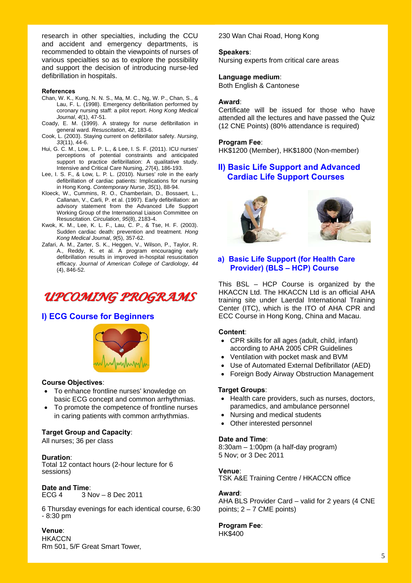research in other specialties, including the CCU and accident and emergency departments, is recommended to obtain the viewpoints of nurses of various specialties so as to explore the possibility and support the decision of introducing nurse-led defibrillation in hospitals.

#### **References**

- Chan, W. K., Kung, N. N. S., Ma, M. C., Ng, W. P., Chan, S., & Lau, F. L. (1998). Emergency defibrillation performed by coronary nursing staff: a pilot report. *Hong Kong Medical Journal*, *4*(1), 47-51.
- Coady, E. M. (1999). A strategy for nurse defibrillation in general ward. *Resuscitation*, *42*, 183-6.
- Cook, L. (2003). Staying current on defibrillator safety. *Nursing*,  *33*(11), 44-6.
- Hui, G. C. M., Low, L. P. L., & Lee, I. S. F. (2011). ICU nurses' perceptions of potential constraints and anticipated support to practice defibrillation: A qualitative study. Intensive and Critical Care Nursing, *27*(4), 186-193.
- Lee, I. S. F., & Low, L. P. L. (2010). Nurses' role in the early defibrillation of cardiac patients: Implications for nursing in Hong Kong. *Contemporary Nurse*, *35*(1), 88-94.
- Kloeck, W., Cummins, R. O., Chamberlain, D., Bossaert, L., Callanan, V., Carli, P. et al. (1997). Early defibrillation: an advisory statement from the Advanced Life Support Working Group of the International Liaison Committee on Resuscitation. *Circulation*, *95*(8), 2183-4.
- Kwok, K. M., Lee, K. L. F., Lau, C. P., & Tse, H. F. (2003). Sudden cardiac death: prevention and treatment. *Hong Kong Medical Journal*, *9*(5), 357-62.
- Zafari, A. M., Zarter, S. K., Heggen, V., Wilson, P., Taylor, R. A., Reddy, K. et al. A program encouraging early defibrillation results in improved in-hospital resuscitation efficacy. *Journal of American College of Cardiology*, *44* (4), 846-52.

## *UPCOMING PROGRAMS UPCOMING PROGRAMS*

## **I) ECG Course for Beginners**



#### **Course Objectives**:

- To enhance frontline nurses' knowledge on basic ECG concept and common arrhythmias.
- To promote the competence of frontline nurses in caring patients with common arrhythmias.

#### **Target Group and Capacity**:

All nurses; 36 per class

#### **Duration**:

Total 12 contact hours (2-hour lecture for 6 sessions)

## **Date and Time**:

ECG 4 3 Nov – 8 Dec 2011

6 Thursday evenings for each identical course, 6:30 - 8:30 pm

## **Venue**:

**HKACCN** Rm 501, 5/F Great Smart Tower, 230 Wan Chai Road, Hong Kong

#### **Speakers**:

Nursing experts from critical care areas

#### **Language medium**:

Both English & Cantonese

#### **Award**:

Certificate will be issued for those who have attended all the lectures and have passed the Quiz (12 CNE Points) (80% attendance is required)

#### **Program Fee**:

HK\$1200 (Member), HK\$1800 (Non-member)

## **II) Basic Life Support and Advanced Cardiac Life Support Courses**





### **a) Basic Life Support (for Health Care Provider) (BLS – HCP) Course**

This BSL – HCP Course is organized by the HKACCN Ltd. The HKACCN Ltd is an official AHA training site under Laerdal International Training Center (ITC), which is the ITO of AHA CPR and ECC Course in Hong Kong, China and Macau.

#### **Content**:

- CPR skills for all ages (adult, child, infant) according to AHA 2005 CPR Guidelines
- Ventilation with pocket mask and BVM
- Use of Automated External Defibrillator (AED)
- Foreign Body Airway Obstruction Management

#### **Target Groups**:

- Health care providers, such as nurses, doctors, paramedics, and ambulance personnel
- Nursing and medical students
- Other interested personnel

#### **Date and Time**:

8:30am – 1:00pm (a half-day program) 5 Nov; or 3 Dec 2011

#### **Venue**:

TSK A&E Training Centre / HKACCN office

#### **Award**:

AHA BLS Provider Card – valid for 2 years (4 CNE points;  $2 - 7$  CME points)

## **Program Fee**:

HK\$400